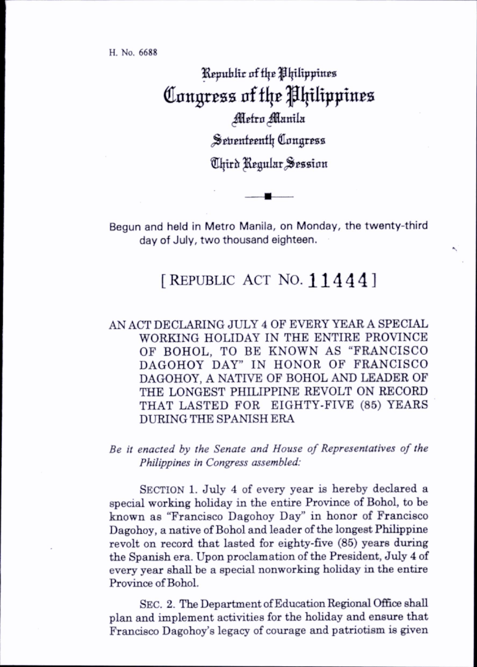H. No. 6688

Republic of the Philippines Congress of the Philippines *Metro Manila* Seventeenth Congress *Chird Regular Session* 

Begun and held in Metro Manila, on Monday, the twenty-third day of July, two thousand eighteen.

## [REPUBLIC ACT NO. 11444]

AN ACT DECLARING JULY 4 OF EVERY YEAR A SPECIAL WORKING HOLIDAY IN THE ENTIRE PROVINCE OF BOHOL, TO BE KNOWN AS "FRANCISCO DAGOHOY DAY" IN HONOR OF FRANCISCO DAGOHOY, A NATIVE OF BOHOL AND LEADER OF THE LONGEST PHILIPPINE REVOLT ON RECORD THAT LASTED FOR EIGHTY-FIVE (85) YEARS DURING THE SPANISH ERA

Be it enacted by the Senate and House of Representatives of the Philippines in Congress assembled:

SECTION 1. July 4 of every year is hereby declared a special working holiday in the entire Province of Bohol, to be known as "Francisco Dagohoy Day" in honor of Francisco Dagohoy, a native of Bohol and leader of the longest Philippine revolt on record that lasted for eighty-five (85) years during the Spanish era. Upon proclamation of the President, July 4 of every year shall be a special nonworking hohday in the entire Province of Bohol.

Sec. 2. The Department of Education Regional Office shall plan and implement activities for the hohday and ensure that Francisco Dagohoy's legacy of courage and patriotism is given